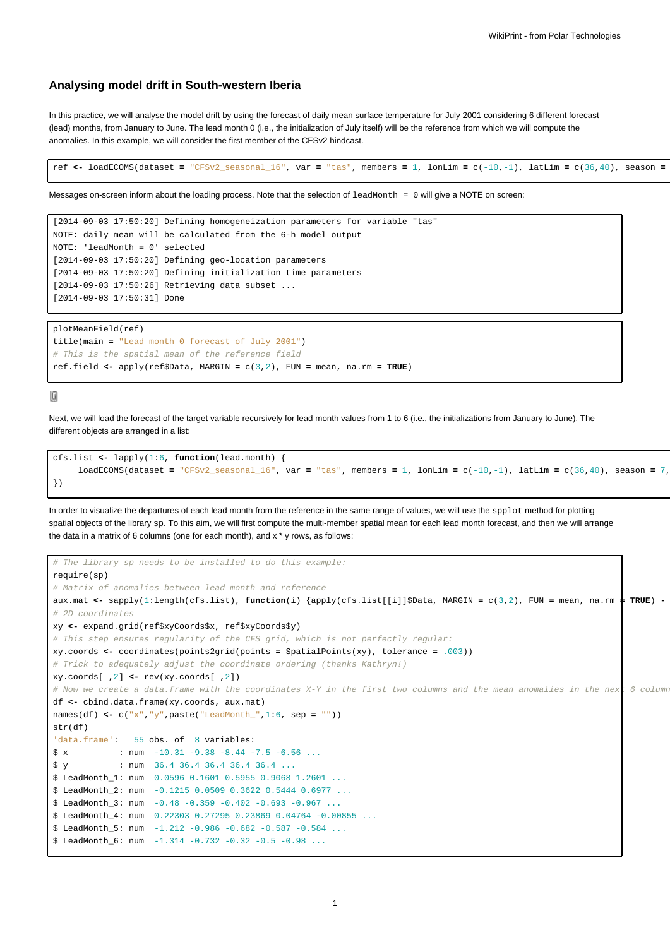## **Analysing model drift in South-western Iberia**

In this practice, we will analyse the model drift by using the forecast of daily mean surface temperature for July 2001 considering 6 different forecast (lead) months, from January to June. The lead month 0 (i.e., the initialization of July itself) will be the reference from which we will compute the anomalies. In this example, we will consider the first member of the CFSv2 hindcast.

```
ref <- loadECOMS(dataset = "CFSv2_seasonal_16", var = "tas", members = 1, lonLim = c(-10,-1), latLim = c(36,40), season =
```
Messages on-screen inform about the loading process. Note that the selection of leadMonth = 0 will give a NOTE on screen:

```
[2014-09-03 17:50:20] Defining homogeneization parameters for variable "tas"
NOTE: daily mean will be calculated from the 6-h model output
NOTE: 'leadMonth = 0' selected
[2014-09-03 17:50:20] Defining geo-location parameters
[2014-09-03 17:50:20] Defining initialization time parameters
[2014-09-03 17:50:26] Retrieving data subset ...
[2014-09-03 17:50:31] Done
```

```
plotMeanField(ref)
title(main = "Lead month 0 forecast of July 2001")
# This is the spatial mean of the reference field
ref.field <- apply(ref$Data, MARGIN = c(3,2), FUN = mean, na.rm = TRUE)
```
10

Next, we will load the forecast of the target variable recursively for lead month values from 1 to 6 (i.e., the initializations from January to June). The different objects are arranged in a list:

```
cfs.list <- lapply(1:6, function(lead.month) {
     loadECOMS(dataset = "CFSv2_seasonal_16", var = "tas", members = 1, lonLim = c(-10,-1), latLim = c(36,40), season = 7,})
```
In order to visualize the departures of each lead month from the reference in the same range of values, we will use the spplot method for plotting spatial objects of the library sp. To this aim, we will first compute the multi-member spatial mean for each lead month forecast, and then we will arrange the data in a matrix of 6 columns (one for each month), and x \* y rows, as follows:

```
# The library sp needs to be installed to do this example:
require(sp)
# Matrix of anomalies between lead month and reference
aux.mat <- sapply(1:length(cfs.list), function(i) {apply(cfs.list[[i]]$Data, MARGIN = c(3,2), FUN = mean, na.rm = TRUE) - ref.field})
# 2D coordinates
xy <- expand.grid(ref$xyCoords$x, ref$xyCoords$y)
# This step ensures regularity of the CFS grid, which is not perfectly regular:
xy.coords <- coordinates(points2grid(points = SpatialPoints(xy), tolerance = .003))
# Trick to adequately adjust the coordinate ordering (thanks Kathryn!)
xy.coords[ ,2] <- rev(xy.coords[ ,2])
# Now we create a data.frame with the coordinates X-Y in the first two columns and the mean anomalies in the nex\sf t 6 column
df <- cbind.data.frame(xy.coords, aux.mat)
names(df) <- c("x","y",paste("LeadMonth_",1:6, sep = ""))
str(df)
'data.frame': 55 obs. of 8 variables:
$ x : num -10.31 -9.38 -8.44 -7.5 -6.56 ...$ y : num 36.4 36.4 36.4 36.4 3.4 ...
$ LeadMonth_1: num 0.0596 0.1601 0.5955 0.9068 1.2601 ...
$ LeadMonth_2: num -0.1215 0.0509 0.3622 0.5444 0.6977 ...
$ LeadMonth_3: num -0.48 -0.359 -0.402 -0.693 -0.967 ...
$ LeadMonth_4: num 0.22303 0.27295 0.23869 0.04764 -0.00855 ...
$ LeadMonth_5: num -1.212 -0.986 -0.682 -0.587 -0.584 ...
$ LeadMonth_6: num -1.314 -0.732 -0.32 -0.5 -0.98 ...
```